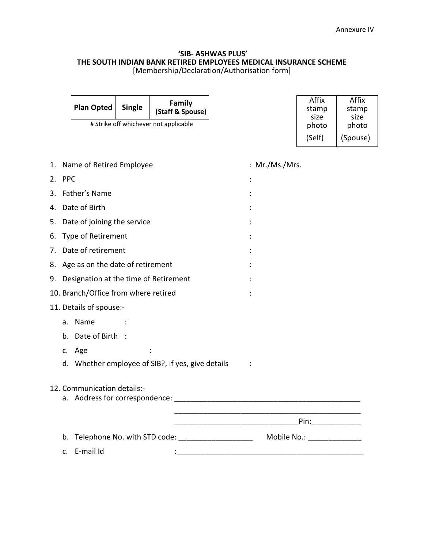### **'SIB- ASHWAS PLUS' THE SOUTH INDIAN BANK RETIRED EMPLOYEES MEDICAL INSURANCE SCHEME** [Membership/Declaration/Authorisation form]

|    |                                                                  | <b>Plan Opted</b>                        | <b>Single</b> | Family<br>(Staff & Spouse)                        |  |                | Affix<br>stamp<br>size      | Affix<br>stamp<br>size |  |  |
|----|------------------------------------------------------------------|------------------------------------------|---------------|---------------------------------------------------|--|----------------|-----------------------------|------------------------|--|--|
|    | # Strike off whichever not applicable                            |                                          |               |                                                   |  |                | photo                       | photo                  |  |  |
|    |                                                                  |                                          |               |                                                   |  |                | (Self)                      | (Spouse)               |  |  |
|    |                                                                  |                                          |               |                                                   |  |                |                             |                        |  |  |
| 1. |                                                                  | Name of Retired Employee                 |               |                                                   |  | : Mr./Ms./Mrs. |                             |                        |  |  |
|    | 2. PPC                                                           |                                          |               |                                                   |  |                |                             |                        |  |  |
| 3. |                                                                  | Father's Name                            |               |                                                   |  |                |                             |                        |  |  |
| 4. |                                                                  | Date of Birth                            |               |                                                   |  |                |                             |                        |  |  |
|    | 5. Date of joining the service                                   |                                          |               |                                                   |  |                |                             |                        |  |  |
|    | 6. Type of Retirement                                            |                                          |               |                                                   |  |                |                             |                        |  |  |
|    | 7. Date of retirement                                            |                                          |               |                                                   |  |                |                             |                        |  |  |
|    | 8. Age as on the date of retirement                              |                                          |               |                                                   |  |                |                             |                        |  |  |
|    |                                                                  | 9. Designation at the time of Retirement |               |                                                   |  |                |                             |                        |  |  |
|    | 10. Branch/Office from where retired                             |                                          |               |                                                   |  |                |                             |                        |  |  |
|    | 11. Details of spouse:-                                          |                                          |               |                                                   |  |                |                             |                        |  |  |
|    |                                                                  | a. Name                                  |               |                                                   |  |                |                             |                        |  |  |
|    |                                                                  | b. Date of Birth :                       |               |                                                   |  |                |                             |                        |  |  |
|    |                                                                  | c. Age                                   |               |                                                   |  |                |                             |                        |  |  |
|    |                                                                  |                                          |               | d. Whether employee of SIB?, if yes, give details |  |                |                             |                        |  |  |
|    |                                                                  |                                          |               |                                                   |  |                |                             |                        |  |  |
|    |                                                                  | 12. Communication details:-              |               |                                                   |  |                |                             |                        |  |  |
|    |                                                                  | a. Address for correspondence:           |               |                                                   |  |                |                             |                        |  |  |
|    |                                                                  |                                          |               |                                                   |  |                | Pin: $\qquad \qquad$        |                        |  |  |
|    | b.                                                               |                                          |               |                                                   |  |                | Mobile No.: _______________ |                        |  |  |
|    | Telephone No. with STD code: ______________________<br>E-mail Id |                                          |               |                                                   |  |                |                             |                        |  |  |
|    | C.                                                               |                                          |               |                                                   |  |                |                             |                        |  |  |